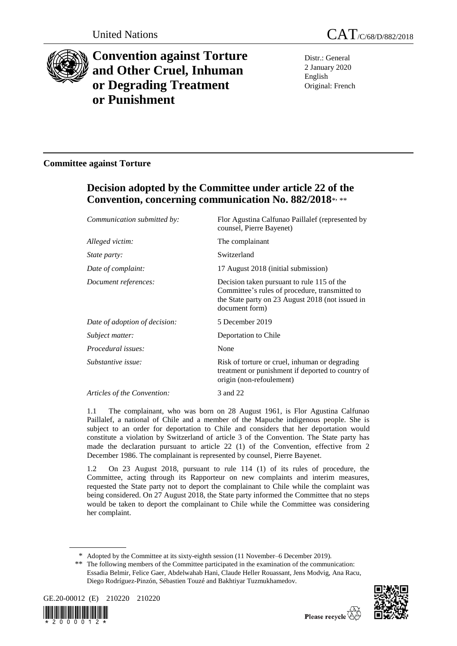

# **Convention against Torture and Other Cruel, Inhuman or Degrading Treatment or Punishment**

Distr.: General 2 January 2020 English Original: French

### **Committee against Torture**

## **Decision adopted by the Committee under article 22 of the Convention, concerning communication No. 882/2018**\* , \*\*

| Communication submitted by:   | Flor Agustina Calfunao Paillalef (represented by<br>counsel, Pierre Bayenet)                                                                                       |
|-------------------------------|--------------------------------------------------------------------------------------------------------------------------------------------------------------------|
| Alleged victim:               | The complainant                                                                                                                                                    |
| <i>State party:</i>           | Switzerland                                                                                                                                                        |
| Date of complaint:            | 17 August 2018 (initial submission)                                                                                                                                |
| Document references:          | Decision taken pursuant to rule 115 of the<br>Committee's rules of procedure, transmitted to<br>the State party on 23 August 2018 (not issued in<br>document form) |
| Date of adoption of decision: | 5 December 2019                                                                                                                                                    |
| Subject matter:               | Deportation to Chile                                                                                                                                               |
| <i>Procedural issues:</i>     | None                                                                                                                                                               |
| Substantive issue:            | Risk of torture or cruel, inhuman or degrading<br>treatment or punishment if deported to country of<br>origin (non-refoulement)                                    |
| Articles of the Convention:   | 3 and 22                                                                                                                                                           |

1.1 The complainant, who was born on 28 August 1961, is Flor Agustina Calfunao Paillalef, a national of Chile and a member of the Mapuche indigenous people. She is subject to an order for deportation to Chile and considers that her deportation would constitute a violation by Switzerland of article 3 of the Convention. The State party has made the declaration pursuant to article 22 (1) of the Convention, effective from 2 December 1986. The complainant is represented by counsel, Pierre Bayenet.

1.2 On 23 August 2018, pursuant to rule 114 (1) of its rules of procedure, the Committee, acting through its Rapporteur on new complaints and interim measures, requested the State party not to deport the complainant to Chile while the complaint was being considered. On 27 August 2018, the State party informed the Committee that no steps would be taken to deport the complainant to Chile while the Committee was considering her complaint.

<sup>\*\*</sup> The following members of the Committee participated in the examination of the communication: Essadia Belmir, Felice Gaer, Abdelwahab Hani, Claude Heller Rouassant, Jens Modvig, Ana Racu, Diego Rodríguez-Pinzón, Sébastien Touzé and Bakhtiyar Tuzmukhamedov.







<sup>\*</sup> Adopted by the Committee at its sixty-eighth session (11 November–6 December 2019).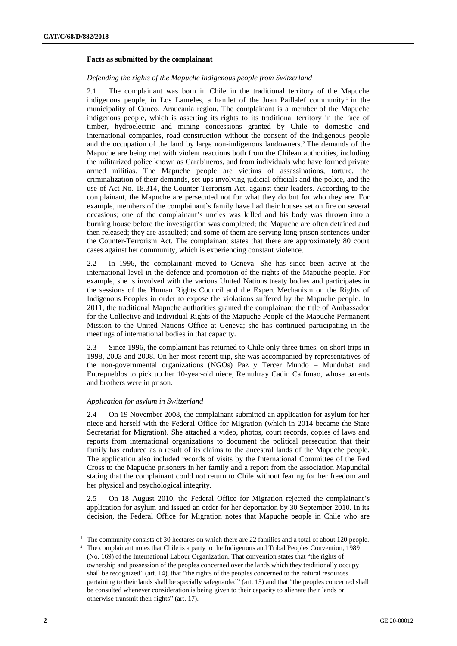#### **Facts as submitted by the complainant**

#### *Defending the rights of the Mapuche indigenous people from Switzerland*

2.1 The complainant was born in Chile in the traditional territory of the Mapuche indigenous people, in Los Laureles, a hamlet of the Juan Paillalef community<sup>1</sup> in the municipality of Cunco, Araucanía region. The complainant is a member of the Mapuche indigenous people, which is asserting its rights to its traditional territory in the face of timber, hydroelectric and mining concessions granted by Chile to domestic and international companies, road construction without the consent of the indigenous people and the occupation of the land by large non-indigenous landowners.<sup>2</sup> The demands of the Mapuche are being met with violent reactions both from the Chilean authorities, including the militarized police known as Carabineros, and from individuals who have formed private armed militias. The Mapuche people are victims of assassinations, torture, the criminalization of their demands, set-ups involving judicial officials and the police, and the use of Act No. 18.314, the Counter-Terrorism Act, against their leaders. According to the complainant, the Mapuche are persecuted not for what they do but for who they are. For example, members of the complainant's family have had their houses set on fire on several occasions; one of the complainant's uncles was killed and his body was thrown into a burning house before the investigation was completed; the Mapuche are often detained and then released; they are assaulted; and some of them are serving long prison sentences under the Counter-Terrorism Act. The complainant states that there are approximately 80 court cases against her community, which is experiencing constant violence.

2.2 In 1996, the complainant moved to Geneva. She has since been active at the international level in the defence and promotion of the rights of the Mapuche people. For example, she is involved with the various United Nations treaty bodies and participates in the sessions of the Human Rights Council and the Expert Mechanism on the Rights of Indigenous Peoples in order to expose the violations suffered by the Mapuche people. In 2011, the traditional Mapuche authorities granted the complainant the title of Ambassador for the Collective and Individual Rights of the Mapuche People of the Mapuche Permanent Mission to the United Nations Office at Geneva; she has continued participating in the meetings of international bodies in that capacity.

2.3 Since 1996, the complainant has returned to Chile only three times, on short trips in 1998, 2003 and 2008. On her most recent trip, she was accompanied by representatives of the non-governmental organizations (NGOs) Paz y Tercer Mundo – Mundubat and Entrepueblos to pick up her 10-year-old niece, Remultray Cadin Calfunao, whose parents and brothers were in prison.

#### *Application for asylum in Switzerland*

2.4 On 19 November 2008, the complainant submitted an application for asylum for her niece and herself with the Federal Office for Migration (which in 2014 became the State Secretariat for Migration). She attached a video, photos, court records, copies of laws and reports from international organizations to document the political persecution that their family has endured as a result of its claims to the ancestral lands of the Mapuche people. The application also included records of visits by the International Committee of the Red Cross to the Mapuche prisoners in her family and a report from the association Mapundial stating that the complainant could not return to Chile without fearing for her freedom and her physical and psychological integrity.

2.5 On 18 August 2010, the Federal Office for Migration rejected the complainant's application for asylum and issued an order for her deportation by 30 September 2010. In its decision, the Federal Office for Migration notes that Mapuche people in Chile who are

<sup>&</sup>lt;sup>1</sup> The community consists of 30 hectares on which there are 22 families and a total of about 120 people.

<sup>2</sup> The complainant notes that Chile is a party to the Indigenous and Tribal Peoples Convention, 1989 (No. 169) of the International Labour Organization. That convention states that "the rights of ownership and possession of the peoples concerned over the lands which they traditionally occupy shall be recognized" (art. 14), that "the rights of the peoples concerned to the natural resources pertaining to their lands shall be specially safeguarded" (art. 15) and that "the peoples concerned shall be consulted whenever consideration is being given to their capacity to alienate their lands or otherwise transmit their rights" (art. 17).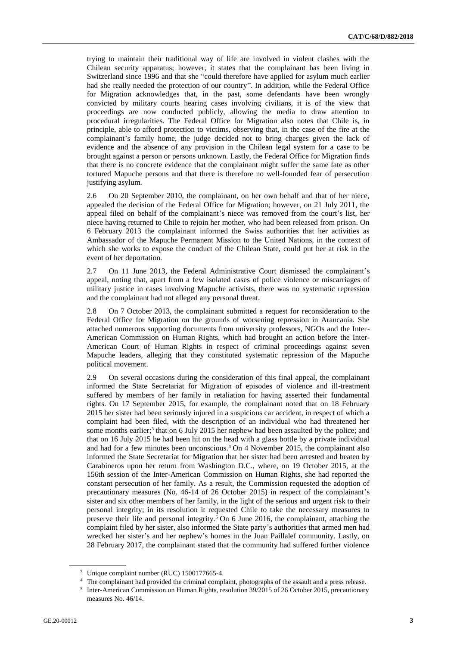trying to maintain their traditional way of life are involved in violent clashes with the Chilean security apparatus; however, it states that the complainant has been living in Switzerland since 1996 and that she "could therefore have applied for asylum much earlier had she really needed the protection of our country". In addition, while the Federal Office for Migration acknowledges that, in the past, some defendants have been wrongly convicted by military courts hearing cases involving civilians, it is of the view that proceedings are now conducted publicly, allowing the media to draw attention to procedural irregularities. The Federal Office for Migration also notes that Chile is, in principle, able to afford protection to victims, observing that, in the case of the fire at the complainant's family home, the judge decided not to bring charges given the lack of evidence and the absence of any provision in the Chilean legal system for a case to be brought against a person or persons unknown. Lastly, the Federal Office for Migration finds that there is no concrete evidence that the complainant might suffer the same fate as other tortured Mapuche persons and that there is therefore no well-founded fear of persecution justifying asylum.

2.6 On 20 September 2010, the complainant, on her own behalf and that of her niece, appealed the decision of the Federal Office for Migration; however, on 21 July 2011, the appeal filed on behalf of the complainant's niece was removed from the court's list, her niece having returned to Chile to rejoin her mother, who had been released from prison. On 6 February 2013 the complainant informed the Swiss authorities that her activities as Ambassador of the Mapuche Permanent Mission to the United Nations, in the context of which she works to expose the conduct of the Chilean State, could put her at risk in the event of her deportation.

2.7 On 11 June 2013, the Federal Administrative Court dismissed the complainant's appeal, noting that, apart from a few isolated cases of police violence or miscarriages of military justice in cases involving Mapuche activists, there was no systematic repression and the complainant had not alleged any personal threat.

2.8 On 7 October 2013, the complainant submitted a request for reconsideration to the Federal Office for Migration on the grounds of worsening repression in Araucanía. She attached numerous supporting documents from university professors, NGOs and the Inter-American Commission on Human Rights, which had brought an action before the Inter-American Court of Human Rights in respect of criminal proceedings against seven Mapuche leaders, alleging that they constituted systematic repression of the Mapuche political movement.

2.9 On several occasions during the consideration of this final appeal, the complainant informed the State Secretariat for Migration of episodes of violence and ill-treatment suffered by members of her family in retaliation for having asserted their fundamental rights. On 17 September 2015, for example, the complainant noted that on 18 February 2015 her sister had been seriously injured in a suspicious car accident, in respect of which a complaint had been filed, with the description of an individual who had threatened her some months earlier;<sup>3</sup> that on 6 July 2015 her nephew had been assaulted by the police; and that on 16 July 2015 he had been hit on the head with a glass bottle by a private individual and had for a few minutes been unconscious.<sup>4</sup> On 4 November 2015, the complainant also informed the State Secretariat for Migration that her sister had been arrested and beaten by Carabineros upon her return from Washington D.C., where, on 19 October 2015, at the 156th session of the Inter-American Commission on Human Rights, she had reported the constant persecution of her family. As a result, the Commission requested the adoption of precautionary measures (No. 46-14 of 26 October 2015) in respect of the complainant's sister and six other members of her family, in the light of the serious and urgent risk to their personal integrity; in its resolution it requested Chile to take the necessary measures to preserve their life and personal integrity.<sup>5</sup> On 6 June 2016, the complainant, attaching the complaint filed by her sister, also informed the State party's authorities that armed men had wrecked her sister's and her nephew's homes in the Juan Paillalef community. Lastly, on 28 February 2017, the complainant stated that the community had suffered further violence

<sup>&</sup>lt;sup>3</sup> Unique complaint number (RUC) 1500177665-4.

The complainant had provided the criminal complaint, photographs of the assault and a press release.

<sup>&</sup>lt;sup>5</sup> Inter-American Commission on Human Rights, resolution 39/2015 of 26 October 2015, precautionary measures No. 46/14.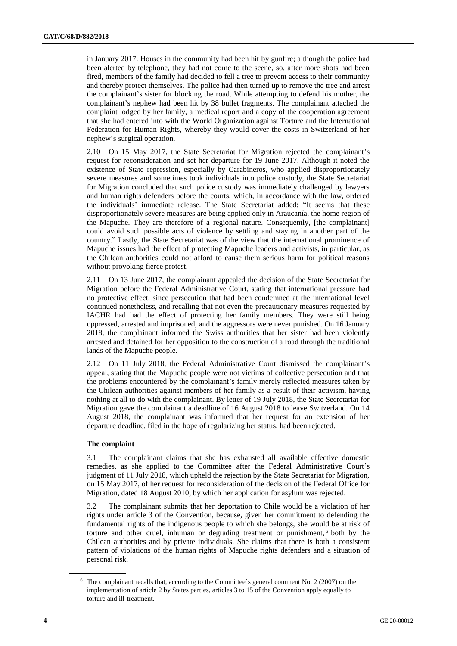in January 2017. Houses in the community had been hit by gunfire; although the police had been alerted by telephone, they had not come to the scene, so, after more shots had been fired, members of the family had decided to fell a tree to prevent access to their community and thereby protect themselves. The police had then turned up to remove the tree and arrest the complainant's sister for blocking the road. While attempting to defend his mother, the complainant's nephew had been hit by 38 bullet fragments. The complainant attached the complaint lodged by her family, a medical report and a copy of the cooperation agreement that she had entered into with the World Organization against Torture and the International Federation for Human Rights, whereby they would cover the costs in Switzerland of her nephew's surgical operation.

2.10 On 15 May 2017, the State Secretariat for Migration rejected the complainant's request for reconsideration and set her departure for 19 June 2017. Although it noted the existence of State repression, especially by Carabineros, who applied disproportionately severe measures and sometimes took individuals into police custody, the State Secretariat for Migration concluded that such police custody was immediately challenged by lawyers and human rights defenders before the courts, which, in accordance with the law, ordered the individuals' immediate release. The State Secretariat added: "It seems that these disproportionately severe measures are being applied only in Araucanía, the home region of the Mapuche. They are therefore of a regional nature. Consequently, [the complainant] could avoid such possible acts of violence by settling and staying in another part of the country." Lastly, the State Secretariat was of the view that the international prominence of Mapuche issues had the effect of protecting Mapuche leaders and activists, in particular, as the Chilean authorities could not afford to cause them serious harm for political reasons without provoking fierce protest.

2.11 On 13 June 2017, the complainant appealed the decision of the State Secretariat for Migration before the Federal Administrative Court, stating that international pressure had no protective effect, since persecution that had been condemned at the international level continued nonetheless, and recalling that not even the precautionary measures requested by IACHR had had the effect of protecting her family members. They were still being oppressed, arrested and imprisoned, and the aggressors were never punished. On 16 January 2018, the complainant informed the Swiss authorities that her sister had been violently arrested and detained for her opposition to the construction of a road through the traditional lands of the Mapuche people.

2.12 On 11 July 2018, the Federal Administrative Court dismissed the complainant's appeal, stating that the Mapuche people were not victims of collective persecution and that the problems encountered by the complainant's family merely reflected measures taken by the Chilean authorities against members of her family as a result of their activism, having nothing at all to do with the complainant. By letter of 19 July 2018, the State Secretariat for Migration gave the complainant a deadline of 16 August 2018 to leave Switzerland. On 14 August 2018, the complainant was informed that her request for an extension of her departure deadline, filed in the hope of regularizing her status, had been rejected.

#### **The complaint**

3.1 The complainant claims that she has exhausted all available effective domestic remedies, as she applied to the Committee after the Federal Administrative Court's judgment of 11 July 2018, which upheld the rejection by the State Secretariat for Migration, on 15 May 2017, of her request for reconsideration of the decision of the Federal Office for Migration, dated 18 August 2010, by which her application for asylum was rejected.

3.2 The complainant submits that her deportation to Chile would be a violation of her rights under article 3 of the Convention, because, given her commitment to defending the fundamental rights of the indigenous people to which she belongs, she would be at risk of torture and other cruel, inhuman or degrading treatment or punishment, <sup>6</sup> both by the Chilean authorities and by private individuals. She claims that there is both a consistent pattern of violations of the human rights of Mapuche rights defenders and a situation of personal risk.

 $6\text{ The complaint recalls that, according to the Committee's general comment No. 2 (2007) on the$ implementation of article 2 by States parties, articles 3 to 15 of the Convention apply equally to torture and ill-treatment.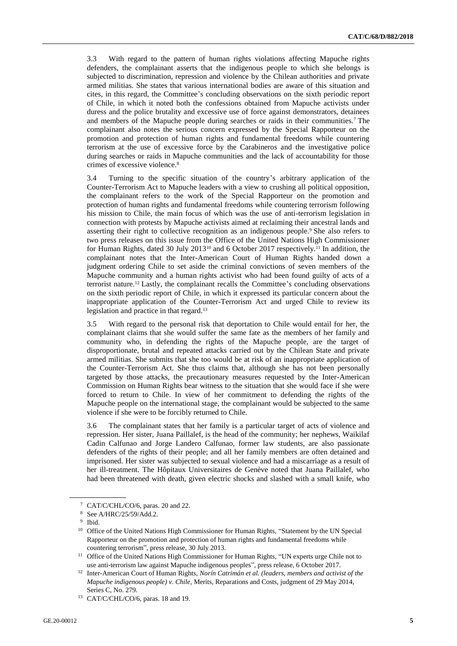3.3 With regard to the pattern of human rights violations affecting Mapuche rights defenders, the complainant asserts that the indigenous people to which she belongs is subjected to discrimination, repression and violence by the Chilean authorities and private armed militias. She states that various international bodies are aware of this situation and cites, in this regard, the Committee's concluding observations on the sixth periodic report of Chile, in which it noted both the confessions obtained from Mapuche activists under duress and the police brutality and excessive use of force against demonstrators, detainees and members of the Mapuche people during searches or raids in their communities.<sup>7</sup> The complainant also notes the serious concern expressed by the Special Rapporteur on the promotion and protection of human rights and fundamental freedoms while countering terrorism at the use of excessive force by the Carabineros and the investigative police during searches or raids in Mapuche communities and the lack of accountability for those crimes of excessive violence.<sup>8</sup>

3.4 Turning to the specific situation of the country's arbitrary application of the Counter-Terrorism Act to Mapuche leaders with a view to crushing all political opposition, the complainant refers to the work of the Special Rapporteur on the promotion and protection of human rights and fundamental freedoms while countering terrorism following his mission to Chile, the main focus of which was the use of anti-terrorism legislation in connection with protests by Mapuche activists aimed at reclaiming their ancestral lands and asserting their right to collective recognition as an indigenous people.<sup>9</sup> She also refers to two press releases on this issue from the Office of the United Nations High Commissioner for Human Rights, dated 30 July 2013<sup>10</sup> and 6 October 2017 respectively.<sup>11</sup> In addition, the complainant notes that the Inter-American Court of Human Rights handed down a judgment ordering Chile to set aside the criminal convictions of seven members of the Mapuche community and a human rights activist who had been found guilty of acts of a terrorist nature.<sup>12</sup> Lastly, the complainant recalls the Committee's concluding observations on the sixth periodic report of Chile, in which it expressed its particular concern about the inappropriate application of the Counter-Terrorism Act and urged Chile to review its legislation and practice in that regard.<sup>13</sup>

3.5 With regard to the personal risk that deportation to Chile would entail for her, the complainant claims that she would suffer the same fate as the members of her family and community who, in defending the rights of the Mapuche people, are the target of disproportionate, brutal and repeated attacks carried out by the Chilean State and private armed militias. She submits that she too would be at risk of an inappropriate application of the Counter-Terrorism Act. She thus claims that, although she has not been personally targeted by those attacks, the precautionary measures requested by the Inter-American Commission on Human Rights bear witness to the situation that she would face if she were forced to return to Chile. In view of her commitment to defending the rights of the Mapuche people on the international stage, the complainant would be subjected to the same violence if she were to be forcibly returned to Chile.

3.6 The complainant states that her family is a particular target of acts of violence and repression. Her sister, Juana Paillalef, is the head of the community; her nephews, Waikilaf Cadin Calfunao and Jorge Landero Calfunao, former law students, are also passionate defenders of the rights of their people; and all her family members are often detained and imprisoned. Her sister was subjected to sexual violence and had a miscarriage as a result of her ill-treatment. The Hôpitaux Universitaires de Genève noted that Juana Paillalef, who had been threatened with death, given electric shocks and slashed with a small knife, who

<sup>7</sup> CAT/C/CHL/CO/6, paras. 20 and 22.

<sup>8</sup> See A/HRC/25/59/Add.2.

<sup>9</sup> Ibid.

<sup>&</sup>lt;sup>10</sup> Office of the United Nations High Commissioner for Human Rights, "Statement by the UN Special Rapporteur on the promotion and protection of human rights and fundamental freedoms while countering terrorism", press release, 30 July 2013.

<sup>&</sup>lt;sup>11</sup> Office of the United Nations High Commissioner for Human Rights, "UN experts urge Chile not to use anti-terrorism law against Mapuche indigenous peoples", press release, 6 October 2017.

<sup>12</sup> Inter-American Court of Human Rights, *Norín Catrimán et al. (leaders, members and activist of the Mapuche indigenous people) v. Chile*, Merits, Reparations and Costs, judgment of 29 May 2014, Series C, No. 279.

<sup>&</sup>lt;sup>13</sup> CAT/C/CHL/CO/6, paras. 18 and 19.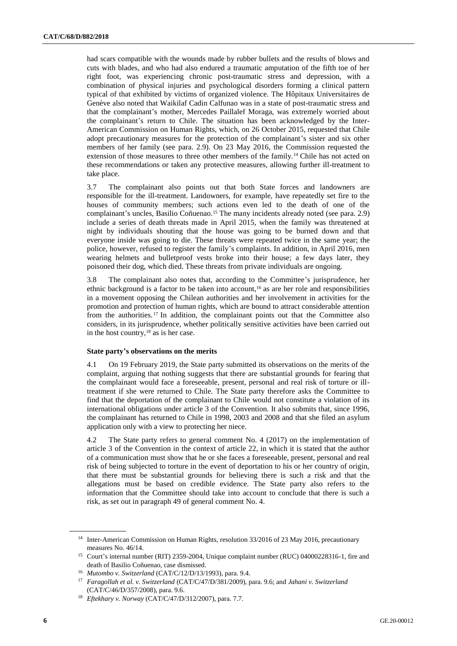had scars compatible with the wounds made by rubber bullets and the results of blows and cuts with blades, and who had also endured a traumatic amputation of the fifth toe of her right foot, was experiencing chronic post-traumatic stress and depression, with a combination of physical injuries and psychological disorders forming a clinical pattern typical of that exhibited by victims of organized violence. The Hôpitaux Universitaires de Genève also noted that Waikilaf Cadin Calfunao was in a state of post-traumatic stress and that the complainant's mother, Mercedes Paillalef Moraga, was extremely worried about the complainant's return to Chile. The situation has been acknowledged by the Inter-American Commission on Human Rights, which, on 26 October 2015, requested that Chile adopt precautionary measures for the protection of the complainant's sister and six other members of her family (see para. 2.9). On 23 May 2016, the Commission requested the extension of those measures to three other members of the family.<sup>14</sup> Chile has not acted on these recommendations or taken any protective measures, allowing further ill-treatment to take place.

3.7 The complainant also points out that both State forces and landowners are responsible for the ill-treatment. Landowners, for example, have repeatedly set fire to the houses of community members; such actions even led to the death of one of the complainant's uncles, Basilio Coñuenao.<sup>15</sup> The many incidents already noted (see para. 2.9) include a series of death threats made in April 2015, when the family was threatened at night by individuals shouting that the house was going to be burned down and that everyone inside was going to die. These threats were repeated twice in the same year; the police, however, refused to register the family's complaints. In addition, in April 2016, men wearing helmets and bulletproof vests broke into their house; a few days later, they poisoned their dog, which died. These threats from private individuals are ongoing.

3.8 The complainant also notes that, according to the Committee's jurisprudence, her ethnic background is a factor to be taken into account,<sup>16</sup> as are her role and responsibilities in a movement opposing the Chilean authorities and her involvement in activities for the promotion and protection of human rights, which are bound to attract considerable attention from the authorities.<sup>17</sup> In addition, the complainant points out that the Committee also considers, in its jurisprudence, whether politically sensitive activities have been carried out in the host country,  $18$  as is her case.

#### **State party's observations on the merits**

4.1 On 19 February 2019, the State party submitted its observations on the merits of the complaint, arguing that nothing suggests that there are substantial grounds for fearing that the complainant would face a foreseeable, present, personal and real risk of torture or illtreatment if she were returned to Chile. The State party therefore asks the Committee to find that the deportation of the complainant to Chile would not constitute a violation of its international obligations under article 3 of the Convention. It also submits that, since 1996, the complainant has returned to Chile in 1998, 2003 and 2008 and that she filed an asylum application only with a view to protecting her niece.

4.2 The State party refers to general comment No. 4 (2017) on the implementation of article 3 of the Convention in the context of article 22, in which it is stated that the author of a communication must show that he or she faces a foreseeable, present, personal and real risk of being subjected to torture in the event of deportation to his or her country of origin, that there must be substantial grounds for believing there is such a risk and that the allegations must be based on credible evidence. The State party also refers to the information that the Committee should take into account to conclude that there is such a risk, as set out in paragraph 49 of general comment No. 4.

<sup>&</sup>lt;sup>14</sup> Inter-American Commission on Human Rights, resolution 33/2016 of 23 May 2016, precautionary measures No. 46/14.

<sup>&</sup>lt;sup>15</sup> Court's internal number (RIT) 2359-2004, Unique complaint number (RUC) 04000228316-1, fire and death of Basilio Coñuenao, case dismissed.

<sup>16</sup> *Mutombo v. Switzerland* (CAT/C/12/D/13/1993), para. 9.4.

<sup>17</sup> *Faragollah et al. v. Switzerland* (CAT/C/47/D/381/2009), para. 9.6; and *Jahani v. Switzerland* (CAT/C/46/D/357/2008), para. 9.6.

<sup>18</sup> *Eftekhary v. Norway* (CAT/C/47/D/312/2007), para. 7.7.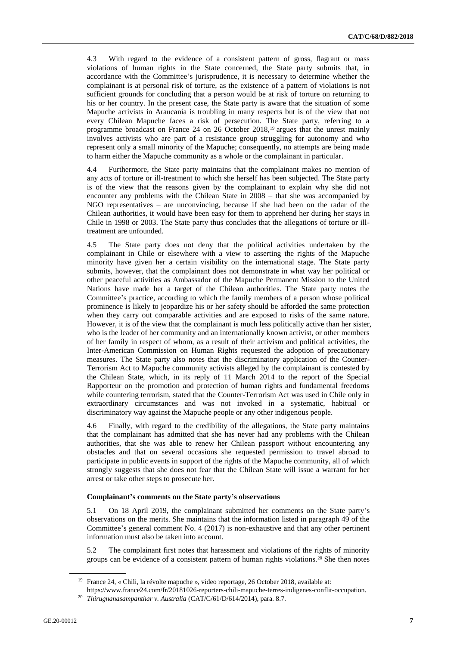4.3 With regard to the evidence of a consistent pattern of gross, flagrant or mass violations of human rights in the State concerned, the State party submits that, in accordance with the Committee's jurisprudence, it is necessary to determine whether the complainant is at personal risk of torture, as the existence of a pattern of violations is not sufficient grounds for concluding that a person would be at risk of torture on returning to his or her country. In the present case, the State party is aware that the situation of some Mapuche activists in Araucanía is troubling in many respects but is of the view that not every Chilean Mapuche faces a risk of persecution. The State party, referring to a programme broadcast on France 24 on 26 October 2018,<sup>19</sup> argues that the unrest mainly involves activists who are part of a resistance group struggling for autonomy and who represent only a small minority of the Mapuche; consequently, no attempts are being made to harm either the Mapuche community as a whole or the complainant in particular.

4.4 Furthermore, the State party maintains that the complainant makes no mention of any acts of torture or ill-treatment to which she herself has been subjected. The State party is of the view that the reasons given by the complainant to explain why she did not encounter any problems with the Chilean State in 2008 – that she was accompanied by NGO representatives – are unconvincing, because if she had been on the radar of the Chilean authorities, it would have been easy for them to apprehend her during her stays in Chile in 1998 or 2003. The State party thus concludes that the allegations of torture or illtreatment are unfounded.

4.5 The State party does not deny that the political activities undertaken by the complainant in Chile or elsewhere with a view to asserting the rights of the Mapuche minority have given her a certain visibility on the international stage. The State party submits, however, that the complainant does not demonstrate in what way her political or other peaceful activities as Ambassador of the Mapuche Permanent Mission to the United Nations have made her a target of the Chilean authorities. The State party notes the Committee's practice, according to which the family members of a person whose political prominence is likely to jeopardize his or her safety should be afforded the same protection when they carry out comparable activities and are exposed to risks of the same nature. However, it is of the view that the complainant is much less politically active than her sister, who is the leader of her community and an internationally known activist, or other members of her family in respect of whom, as a result of their activism and political activities, the Inter-American Commission on Human Rights requested the adoption of precautionary measures. The State party also notes that the discriminatory application of the Counter-Terrorism Act to Mapuche community activists alleged by the complainant is contested by the Chilean State, which, in its reply of 11 March 2014 to the report of the Special Rapporteur on the promotion and protection of human rights and fundamental freedoms while countering terrorism, stated that the Counter-Terrorism Act was used in Chile only in extraordinary circumstances and was not invoked in a systematic, habitual or discriminatory way against the Mapuche people or any other indigenous people.

4.6 Finally, with regard to the credibility of the allegations, the State party maintains that the complainant has admitted that she has never had any problems with the Chilean authorities, that she was able to renew her Chilean passport without encountering any obstacles and that on several occasions she requested permission to travel abroad to participate in public events in support of the rights of the Mapuche community, all of which strongly suggests that she does not fear that the Chilean State will issue a warrant for her arrest or take other steps to prosecute her.

#### **Complainant's comments on the State party's observations**

5.1 On 18 April 2019, the complainant submitted her comments on the State party's observations on the merits. She maintains that the information listed in paragraph 49 of the Committee's general comment No. 4 (2017) is non-exhaustive and that any other pertinent information must also be taken into account.

5.2 The complainant first notes that harassment and violations of the rights of minority groups can be evidence of a consistent pattern of human rights violations.<sup>20</sup> She then notes

<sup>19</sup> France 24, « Chili, la révolte mapuche », video reportage, 26 October 2018, available at:

https://www.france24.com/fr/20181026-reporters-chili-mapuche-terres-indigenes-conflit-occupation.

<sup>20</sup> *Thirugnanasampanthar v. Australia* (CAT/C/61/D/614/2014), para. 8.7.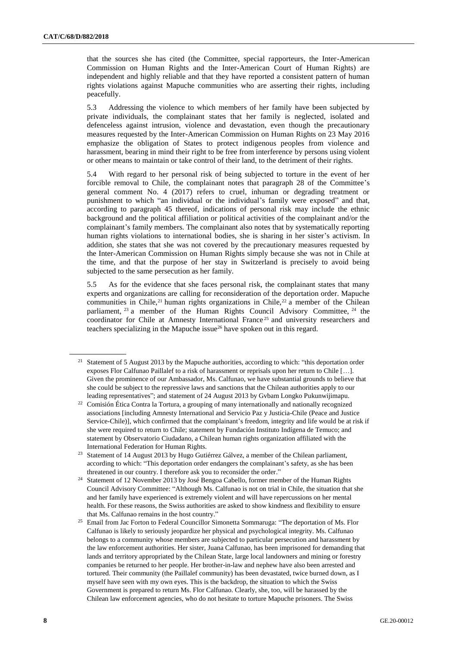that the sources she has cited (the Committee, special rapporteurs, the Inter-American Commission on Human Rights and the Inter-American Court of Human Rights) are independent and highly reliable and that they have reported a consistent pattern of human rights violations against Mapuche communities who are asserting their rights, including peacefully.

5.3 Addressing the violence to which members of her family have been subjected by private individuals, the complainant states that her family is neglected, isolated and defenceless against intrusion, violence and devastation, even though the precautionary measures requested by the Inter-American Commission on Human Rights on 23 May 2016 emphasize the obligation of States to protect indigenous peoples from violence and harassment, bearing in mind their right to be free from interference by persons using violent or other means to maintain or take control of their land, to the detriment of their rights.

5.4 With regard to her personal risk of being subjected to torture in the event of her forcible removal to Chile, the complainant notes that paragraph 28 of the Committee's general comment No. 4 (2017) refers to cruel, inhuman or degrading treatment or punishment to which "an individual or the individual's family were exposed" and that, according to paragraph 45 thereof, indications of personal risk may include the ethnic background and the political affiliation or political activities of the complainant and/or the complainant's family members. The complainant also notes that by systematically reporting human rights violations to international bodies, she is sharing in her sister's activism. In addition, she states that she was not covered by the precautionary measures requested by the Inter-American Commission on Human Rights simply because she was not in Chile at the time, and that the purpose of her stay in Switzerland is precisely to avoid being subjected to the same persecution as her family.

5.5 As for the evidence that she faces personal risk, the complainant states that many experts and organizations are calling for reconsideration of the deportation order. Mapuche communities in Chile,<sup>21</sup> human rights organizations in Chile,<sup>22</sup> a member of the Chilean parliament, <sup>23</sup> a member of the Human Rights Council Advisory Committee, <sup>24</sup> the coordinator for Chile at Amnesty International France <sup>25</sup> and university researchers and teachers specializing in the Mapuche issue<sup>26</sup> have spoken out in this regard.

<sup>&</sup>lt;sup>21</sup> Statement of 5 August 2013 by the Mapuche authorities, according to which: "this deportation order exposes Flor Calfunao Paillalef to a risk of harassment or reprisals upon her return to Chile […]. Given the prominence of our Ambassador, Ms. Calfunao, we have substantial grounds to believe that she could be subject to the repressive laws and sanctions that the Chilean authorities apply to our leading representatives"; and statement of 24 August 2013 by Gvbam Longko Pukunwijimapu.

<sup>&</sup>lt;sup>22</sup> Comisión Ética Contra la Tortura, a grouping of many internationally and nationally recognized associations [including Amnesty International and Servicio Paz y Justicia-Chile (Peace and Justice Service-Chile)], which confirmed that the complainant's freedom, integrity and life would be at risk if she were required to return to Chile; statement by Fundación Instituto Indígena de Temuco; and statement by Observatorio Ciudadano, a Chilean human rights organization affiliated with the International Federation for Human Rights.

<sup>&</sup>lt;sup>23</sup> Statement of 14 August 2013 by Hugo Gutiérrez Gálvez, a member of the Chilean parliament, according to which: "This deportation order endangers the complainant's safety, as she has been threatened in our country. I therefore ask you to reconsider the order."

<sup>&</sup>lt;sup>24</sup> Statement of 12 November 2013 by José Bengoa Cabello, former member of the Human Rights Council Advisory Committee: "Although Ms. Calfunao is not on trial in Chile, the situation that she and her family have experienced is extremely violent and will have repercussions on her mental health. For these reasons, the Swiss authorities are asked to show kindness and flexibility to ensure that Ms. Calfunao remains in the host country."

<sup>&</sup>lt;sup>25</sup> Email from Jac Forton to Federal Councillor Simonetta Sommaruga: "The deportation of Ms. Flor Calfunao is likely to seriously jeopardize her physical and psychological integrity. Ms. Calfunao belongs to a community whose members are subjected to particular persecution and harassment by the law enforcement authorities. Her sister, Juana Calfunao, has been imprisoned for demanding that lands and territory appropriated by the Chilean State, large local landowners and mining or forestry companies be returned to her people. Her brother-in-law and nephew have also been arrested and tortured. Their community (the Paillalef community) has been devastated, twice burned down, as I myself have seen with my own eyes. This is the backdrop, the situation to which the Swiss Government is prepared to return Ms. Flor Calfunao. Clearly, she, too, will be harassed by the Chilean law enforcement agencies, who do not hesitate to torture Mapuche prisoners. The Swiss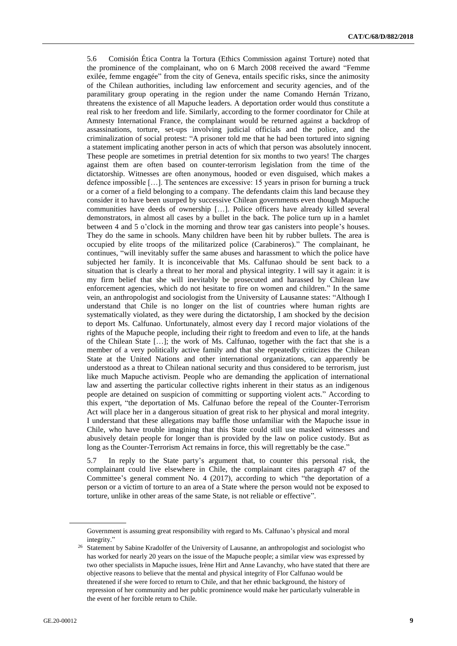5.6 Comisión Ética Contra la Tortura (Ethics Commission against Torture) noted that the prominence of the complainant, who on 6 March 2008 received the award "Femme exilée, femme engagée" from the city of Geneva, entails specific risks, since the animosity of the Chilean authorities, including law enforcement and security agencies, and of the paramilitary group operating in the region under the name Comando Hernán Trizano, threatens the existence of all Mapuche leaders. A deportation order would thus constitute a real risk to her freedom and life. Similarly, according to the former coordinator for Chile at Amnesty International France, the complainant would be returned against a backdrop of assassinations, torture, set-ups involving judicial officials and the police, and the criminalization of social protest: "A prisoner told me that he had been tortured into signing a statement implicating another person in acts of which that person was absolutely innocent. These people are sometimes in pretrial detention for six months to two years! The charges against them are often based on counter-terrorism legislation from the time of the dictatorship. Witnesses are often anonymous, hooded or even disguised, which makes a defence impossible […]. The sentences are excessive: 15 years in prison for burning a truck or a corner of a field belonging to a company. The defendants claim this land because they consider it to have been usurped by successive Chilean governments even though Mapuche communities have deeds of ownership […]. Police officers have already killed several demonstrators, in almost all cases by a bullet in the back. The police turn up in a hamlet between 4 and 5 o'clock in the morning and throw tear gas canisters into people's houses. They do the same in schools. Many children have been hit by rubber bullets. The area is occupied by elite troops of the militarized police (Carabineros)." The complainant, he continues, "will inevitably suffer the same abuses and harassment to which the police have subjected her family. It is inconceivable that Ms. Calfunao should be sent back to a situation that is clearly a threat to her moral and physical integrity. I will say it again: it is my firm belief that she will inevitably be prosecuted and harassed by Chilean law enforcement agencies, which do not hesitate to fire on women and children." In the same vein, an anthropologist and sociologist from the University of Lausanne states: "Although I understand that Chile is no longer on the list of countries where human rights are systematically violated, as they were during the dictatorship, I am shocked by the decision to deport Ms. Calfunao. Unfortunately, almost every day I record major violations of the rights of the Mapuche people, including their right to freedom and even to life, at the hands of the Chilean State […]; the work of Ms. Calfunao, together with the fact that she is a member of a very politically active family and that she repeatedly criticizes the Chilean State at the United Nations and other international organizations, can apparently be understood as a threat to Chilean national security and thus considered to be terrorism, just like much Mapuche activism. People who are demanding the application of international law and asserting the particular collective rights inherent in their status as an indigenous people are detained on suspicion of committing or supporting violent acts." According to this expert, "the deportation of Ms. Calfunao before the repeal of the Counter-Terrorism Act will place her in a dangerous situation of great risk to her physical and moral integrity. I understand that these allegations may baffle those unfamiliar with the Mapuche issue in Chile, who have trouble imagining that this State could still use masked witnesses and abusively detain people for longer than is provided by the law on police custody. But as long as the Counter-Terrorism Act remains in force, this will regrettably be the case."

5.7 In reply to the State party's argument that, to counter this personal risk, the complainant could live elsewhere in Chile, the complainant cites paragraph 47 of the Committee's general comment No. 4 (2017), according to which "the deportation of a person or a victim of torture to an area of a State where the person would not be exposed to torture, unlike in other areas of the same State, is not reliable or effective".

Government is assuming great responsibility with regard to Ms. Calfunao's physical and moral integrity."

<sup>&</sup>lt;sup>26</sup> Statement by Sabine Kradolfer of the University of Lausanne, an anthropologist and sociologist who has worked for nearly 20 years on the issue of the Mapuche people; a similar view was expressed by two other specialists in Mapuche issues, Irène Hirt and Anne Lavanchy, who have stated that there are objective reasons to believe that the mental and physical integrity of Flor Calfunao would be threatened if she were forced to return to Chile, and that her ethnic background, the history of repression of her community and her public prominence would make her particularly vulnerable in the event of her forcible return to Chile.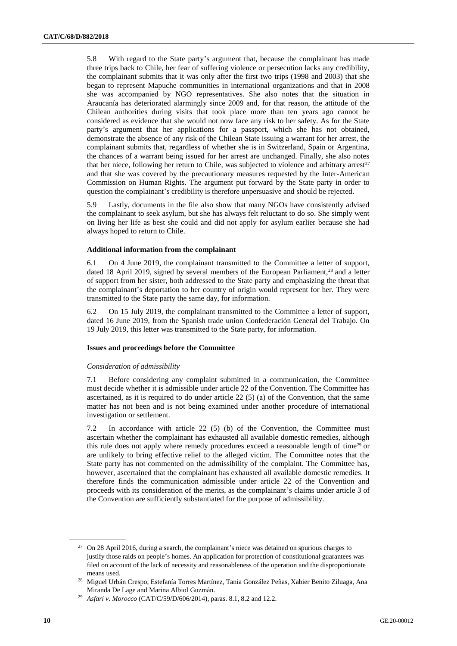5.8 With regard to the State party's argument that, because the complainant has made three trips back to Chile, her fear of suffering violence or persecution lacks any credibility, the complainant submits that it was only after the first two trips (1998 and 2003) that she began to represent Mapuche communities in international organizations and that in 2008 she was accompanied by NGO representatives. She also notes that the situation in Araucanía has deteriorated alarmingly since 2009 and, for that reason, the attitude of the Chilean authorities during visits that took place more than ten years ago cannot be considered as evidence that she would not now face any risk to her safety. As for the State party's argument that her applications for a passport, which she has not obtained, demonstrate the absence of any risk of the Chilean State issuing a warrant for her arrest, the complainant submits that, regardless of whether she is in Switzerland, Spain or Argentina, the chances of a warrant being issued for her arrest are unchanged. Finally, she also notes that her niece, following her return to Chile, was subjected to violence and arbitrary arrest<sup>27</sup> and that she was covered by the precautionary measures requested by the Inter-American Commission on Human Rights. The argument put forward by the State party in order to question the complainant's credibility is therefore unpersuasive and should be rejected.

5.9 Lastly, documents in the file also show that many NGOs have consistently advised the complainant to seek asylum, but she has always felt reluctant to do so. She simply went on living her life as best she could and did not apply for asylum earlier because she had always hoped to return to Chile.

#### **Additional information from the complainant**

6.1 On 4 June 2019, the complainant transmitted to the Committee a letter of support, dated 18 April 2019, signed by several members of the European Parliament,<sup>28</sup> and a letter of support from her sister, both addressed to the State party and emphasizing the threat that the complainant's deportation to her country of origin would represent for her. They were transmitted to the State party the same day, for information.

6.2 On 15 July 2019, the complainant transmitted to the Committee a letter of support, dated 16 June 2019, from the Spanish trade union Confederación General del Trabajo. On 19 July 2019, this letter was transmitted to the State party, for information.

#### **Issues and proceedings before the Committee**

#### *Consideration of admissibility*

7.1 Before considering any complaint submitted in a communication, the Committee must decide whether it is admissible under article 22 of the Convention. The Committee has ascertained, as it is required to do under article  $22(5)$  (a) of the Convention, that the same matter has not been and is not being examined under another procedure of international investigation or settlement.

7.2 In accordance with article 22 (5) (b) of the Convention, the Committee must ascertain whether the complainant has exhausted all available domestic remedies, although this rule does not apply where remedy procedures exceed a reasonable length of time<sup>29</sup> or are unlikely to bring effective relief to the alleged victim. The Committee notes that the State party has not commented on the admissibility of the complaint. The Committee has, however, ascertained that the complainant has exhausted all available domestic remedies. It therefore finds the communication admissible under article 22 of the Convention and proceeds with its consideration of the merits, as the complainant's claims under article 3 of the Convention are sufficiently substantiated for the purpose of admissibility.

<sup>&</sup>lt;sup>27</sup> On 28 April 2016, during a search, the complainant's niece was detained on spurious charges to justify those raids on people's homes. An application for protection of constitutional guarantees was filed on account of the lack of necessity and reasonableness of the operation and the disproportionate means used.

<sup>28</sup> Miguel Urbán Crespo, Estefanía Torres Martínez, Tania González Peñas, Xabier Benito Ziluaga, Ana Miranda De Lage and Marina Albiol Guzmán.

<sup>29</sup> *Asfari v. Morocco* (CAT/C/59/D/606/2014), paras. 8.1, 8.2 and 12.2.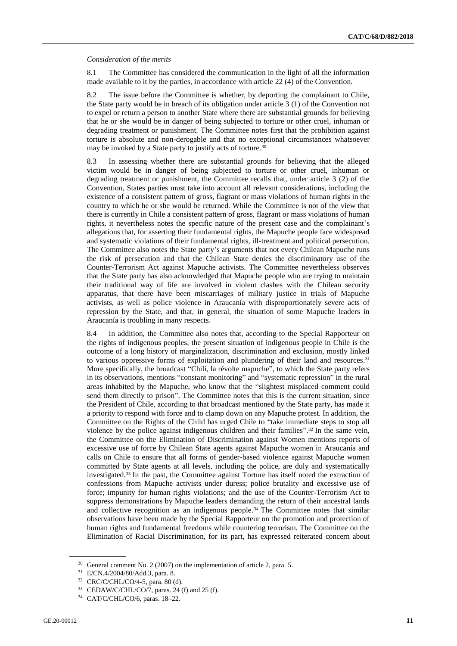#### *Consideration of the merits*

8.1 The Committee has considered the communication in the light of all the information made available to it by the parties, in accordance with article 22 (4) of the Convention.

8.2 The issue before the Committee is whether, by deporting the complainant to Chile, the State party would be in breach of its obligation under article 3 (1) of the Convention not to expel or return a person to another State where there are substantial grounds for believing that he or she would be in danger of being subjected to torture or other cruel, inhuman or degrading treatment or punishment. The Committee notes first that the prohibition against torture is absolute and non-derogable and that no exceptional circumstances whatsoever may be invoked by a State party to justify acts of torture.<sup>30</sup>

8.3 In assessing whether there are substantial grounds for believing that the alleged victim would be in danger of being subjected to torture or other cruel, inhuman or degrading treatment or punishment, the Committee recalls that, under article 3 (2) of the Convention, States parties must take into account all relevant considerations, including the existence of a consistent pattern of gross, flagrant or mass violations of human rights in the country to which he or she would be returned. While the Committee is not of the view that there is currently in Chile a consistent pattern of gross, flagrant or mass violations of human rights, it nevertheless notes the specific nature of the present case and the complainant's allegations that, for asserting their fundamental rights, the Mapuche people face widespread and systematic violations of their fundamental rights, ill-treatment and political persecution. The Committee also notes the State party's arguments that not every Chilean Mapuche runs the risk of persecution and that the Chilean State denies the discriminatory use of the Counter-Terrorism Act against Mapuche activists. The Committee nevertheless observes that the State party has also acknowledged that Mapuche people who are trying to maintain their traditional way of life are involved in violent clashes with the Chilean security apparatus, that there have been miscarriages of military justice in trials of Mapuche activists, as well as police violence in Araucanía with disproportionately severe acts of repression by the State, and that, in general, the situation of some Mapuche leaders in Araucanía is troubling in many respects.

8.4 In addition, the Committee also notes that, according to the Special Rapporteur on the rights of indigenous peoples, the present situation of indigenous people in Chile is the outcome of a long history of marginalization, discrimination and exclusion, mostly linked to various oppressive forms of exploitation and plundering of their land and resources.<sup>31</sup> More specifically, the broadcast "Chili, la révolte mapuche", to which the State party refers in its observations, mentions "constant monitoring" and "systematic repression" in the rural areas inhabited by the Mapuche, who know that the "slightest misplaced comment could send them directly to prison". The Committee notes that this is the current situation, since the President of Chile, according to that broadcast mentioned by the State party, has made it a priority to respond with force and to clamp down on any Mapuche protest. In addition, the Committee on the Rights of the Child has urged Chile to "take immediate steps to stop all violence by the police against indigenous children and their families". <sup>32</sup> In the same vein, the Committee on the Elimination of Discrimination against Women mentions reports of excessive use of force by Chilean State agents against Mapuche women in Araucanía and calls on Chile to ensure that all forms of gender-based violence against Mapuche women committed by State agents at all levels, including the police, are duly and systematically investigated.<sup>33</sup> In the past, the Committee against Torture has itself noted the extraction of confessions from Mapuche activists under duress; police brutality and excessive use of force; impunity for human rights violations; and the use of the Counter-Terrorism Act to suppress demonstrations by Mapuche leaders demanding the return of their ancestral lands and collective recognition as an indigenous people.<sup>34</sup> The Committee notes that similar observations have been made by the Special Rapporteur on the promotion and protection of human rights and fundamental freedoms while countering terrorism. The Committee on the Elimination of Racial Discrimination, for its part, has expressed reiterated concern about

<sup>&</sup>lt;sup>30</sup> General comment No. 2 (2007) on the implementation of article 2, para. 5.

<sup>31</sup> E/CN.4/2004/80/Add.3, para. 8.

<sup>32</sup> CRC/C/CHL/CO/4-5, para. 80 (d).

<sup>33</sup> CEDAW/C/CHL/CO/7, paras. 24 (f) and 25 (f).

<sup>34</sup> CAT/C/CHL/CO/6, paras. 18–22.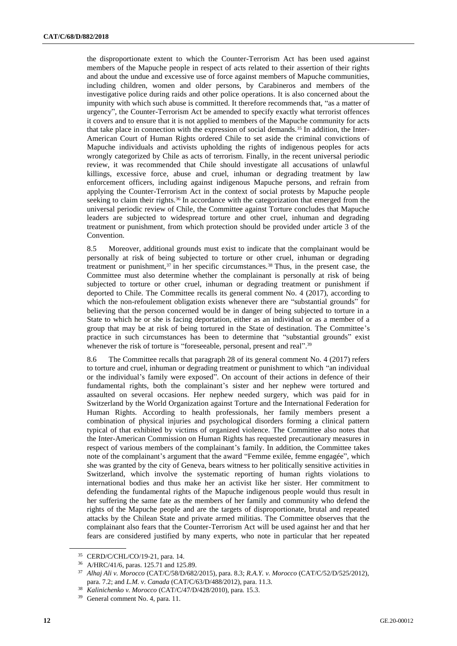the disproportionate extent to which the Counter-Terrorism Act has been used against members of the Mapuche people in respect of acts related to their assertion of their rights and about the undue and excessive use of force against members of Mapuche communities, including children, women and older persons, by Carabineros and members of the investigative police during raids and other police operations. It is also concerned about the impunity with which such abuse is committed. It therefore recommends that, "as a matter of urgency", the Counter-Terrorism Act be amended to specify exactly what terrorist offences it covers and to ensure that it is not applied to members of the Mapuche community for acts that take place in connection with the expression of social demands.<sup>35</sup> In addition, the Inter-American Court of Human Rights ordered Chile to set aside the criminal convictions of Mapuche individuals and activists upholding the rights of indigenous peoples for acts wrongly categorized by Chile as acts of terrorism. Finally, in the recent universal periodic review, it was recommended that Chile should investigate all accusations of unlawful killings, excessive force, abuse and cruel, inhuman or degrading treatment by law enforcement officers, including against indigenous Mapuche persons, and refrain from applying the Counter-Terrorism Act in the context of social protests by Mapuche people seeking to claim their rights.<sup>36</sup> In accordance with the categorization that emerged from the universal periodic review of Chile, the Committee against Torture concludes that Mapuche leaders are subjected to widespread torture and other cruel, inhuman and degrading treatment or punishment, from which protection should be provided under article 3 of the Convention.

8.5 Moreover, additional grounds must exist to indicate that the complainant would be personally at risk of being subjected to torture or other cruel, inhuman or degrading treatment or punishment,<sup>37</sup> in her specific circumstances.<sup>38</sup> Thus, in the present case, the Committee must also determine whether the complainant is personally at risk of being subjected to torture or other cruel, inhuman or degrading treatment or punishment if deported to Chile. The Committee recalls its general comment No. 4 (2017), according to which the non-refoulement obligation exists whenever there are "substantial grounds" for believing that the person concerned would be in danger of being subjected to torture in a State to which he or she is facing deportation, either as an individual or as a member of a group that may be at risk of being tortured in the State of destination. The Committee's practice in such circumstances has been to determine that "substantial grounds" exist whenever the risk of torture is "foreseeable, personal, present and real".<sup>39</sup>

8.6 The Committee recalls that paragraph 28 of its general comment No. 4 (2017) refers to torture and cruel, inhuman or degrading treatment or punishment to which "an individual or the individual's family were exposed". On account of their actions in defence of their fundamental rights, both the complainant's sister and her nephew were tortured and assaulted on several occasions. Her nephew needed surgery, which was paid for in Switzerland by the World Organization against Torture and the International Federation for Human Rights. According to health professionals, her family members present a combination of physical injuries and psychological disorders forming a clinical pattern typical of that exhibited by victims of organized violence. The Committee also notes that the Inter-American Commission on Human Rights has requested precautionary measures in respect of various members of the complainant's family. In addition, the Committee takes note of the complainant's argument that the award "Femme exilée, femme engagée", which she was granted by the city of Geneva, bears witness to her politically sensitive activities in Switzerland, which involve the systematic reporting of human rights violations to international bodies and thus make her an activist like her sister. Her commitment to defending the fundamental rights of the Mapuche indigenous people would thus result in her suffering the same fate as the members of her family and community who defend the rights of the Mapuche people and are the targets of disproportionate, brutal and repeated attacks by the Chilean State and private armed militias. The Committee observes that the complainant also fears that the Counter-Terrorism Act will be used against her and that her fears are considered justified by many experts, who note in particular that her repeated

<sup>35</sup> CERD/C/CHL/CO/19-21, para. 14.

<sup>36</sup> A/HRC/41/6, paras. 125.71 and 125.89.

<sup>37</sup> *Alhaj Ali v. Morocco* (CAT/C/58/D/682/2015), para. 8.3; *R.A.Y. v. Morocco* (CAT/C/52/D/525/2012), para. 7.2; and *L.M. v. Canada* (CAT/C/63/D/488/2012), para. 11.3.

<sup>38</sup> *Kalinichenko v. Morocco* (CAT/C/47/D/428/2010), para. 15.3.

<sup>39</sup> General comment No. 4, para. 11.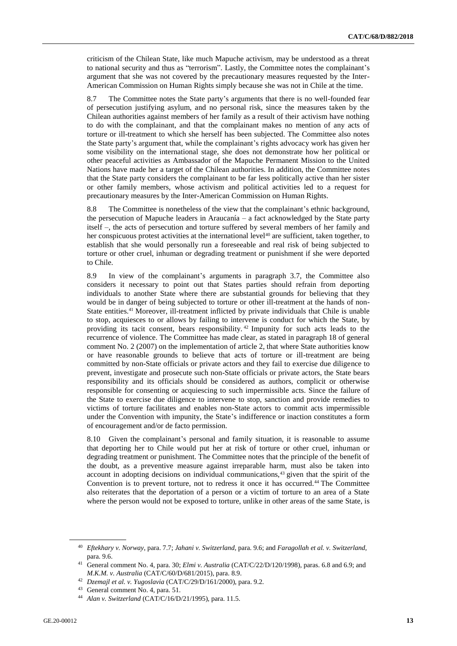criticism of the Chilean State, like much Mapuche activism, may be understood as a threat to national security and thus as "terrorism". Lastly, the Committee notes the complainant's argument that she was not covered by the precautionary measures requested by the Inter-American Commission on Human Rights simply because she was not in Chile at the time.

8.7 The Committee notes the State party's arguments that there is no well-founded fear of persecution justifying asylum, and no personal risk, since the measures taken by the Chilean authorities against members of her family as a result of their activism have nothing to do with the complainant, and that the complainant makes no mention of any acts of torture or ill-treatment to which she herself has been subjected. The Committee also notes the State party's argument that, while the complainant's rights advocacy work has given her some visibility on the international stage, she does not demonstrate how her political or other peaceful activities as Ambassador of the Mapuche Permanent Mission to the United Nations have made her a target of the Chilean authorities. In addition, the Committee notes that the State party considers the complainant to be far less politically active than her sister or other family members, whose activism and political activities led to a request for precautionary measures by the Inter-American Commission on Human Rights.

8.8 The Committee is nonetheless of the view that the complainant's ethnic background, the persecution of Mapuche leaders in Araucanía – a fact acknowledged by the State party itself –, the acts of persecution and torture suffered by several members of her family and her conspicuous protest activities at the international level<sup>40</sup> are sufficient, taken together, to establish that she would personally run a foreseeable and real risk of being subjected to torture or other cruel, inhuman or degrading treatment or punishment if she were deported to Chile.

8.9 In view of the complainant's arguments in paragraph 3.7, the Committee also considers it necessary to point out that States parties should refrain from deporting individuals to another State where there are substantial grounds for believing that they would be in danger of being subjected to torture or other ill-treatment at the hands of non-State entities.<sup>41</sup> Moreover, ill-treatment inflicted by private individuals that Chile is unable to stop, acquiesces to or allows by failing to intervene is conduct for which the State, by providing its tacit consent, bears responsibility. <sup>42</sup> Impunity for such acts leads to the recurrence of violence. The Committee has made clear, as stated in paragraph 18 of general comment No. 2 (2007) on the implementation of article 2, that where State authorities know or have reasonable grounds to believe that acts of torture or ill-treatment are being committed by non-State officials or private actors and they fail to exercise due diligence to prevent, investigate and prosecute such non-State officials or private actors, the State bears responsibility and its officials should be considered as authors, complicit or otherwise responsible for consenting or acquiescing to such impermissible acts. Since the failure of the State to exercise due diligence to intervene to stop, sanction and provide remedies to victims of torture facilitates and enables non-State actors to commit acts impermissible under the Convention with impunity, the State's indifference or inaction constitutes a form of encouragement and/or de facto permission.

8.10 Given the complainant's personal and family situation, it is reasonable to assume that deporting her to Chile would put her at risk of torture or other cruel, inhuman or degrading treatment or punishment. The Committee notes that the principle of the benefit of the doubt, as a preventive measure against irreparable harm, must also be taken into account in adopting decisions on individual communications,<sup>43</sup> given that the spirit of the Convention is to prevent torture, not to redress it once it has occurred.<sup>44</sup> The Committee also reiterates that the deportation of a person or a victim of torture to an area of a State where the person would not be exposed to torture, unlike in other areas of the same State, is

<sup>40</sup> *Eftekhary v. Norway*, para. 7.7; *Jahani v. Switzerland*, para. 9.6; and *Faragollah et al. v. Switzerland*, para. 9.6.

<sup>41</sup> General comment No. 4, para. 30; *Elmi v. Australia* (CAT/C/22/D/120/1998), paras. 6.8 and 6.9; and *M.K.M. v. Australia* (CAT/C/60/D/681/2015), para. 8.9.

<sup>42</sup> *Dzemajl et al. v. Yugoslavia* (CAT/C/29/D/161/2000), para. 9.2.

<sup>43</sup> General comment No. 4, para. 51.

<sup>44</sup> *Alan v. Switzerland* (CAT/C/16/D/21/1995), para. 11.5.